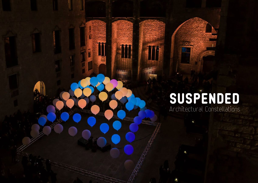# **SUSPENDED** Architectural Constellations

ÎÎÎ

**THE MANUFACTURER** 

**THE MANU**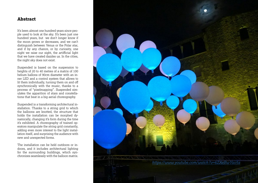### **Abstract**

It's been almost one hundred years since people used to look at the sky. It's been just one hundred years, but we don't longer know if the moon grows or decreases, and we can't distinguish between Venus or the Polar star, and if by any chance, or by curiosity, one night we raise our sight, the artifficial light that we have created dazzles us. In the cities, the night sky does not exist.

Suspended is based on the suspension to heights of 20 to 40 metres of a matrix of 100 helium ballons of 90cm diameter with an inner LED and a control system that allows to lit them individually, turning them on and off synchronically with the music, thanks to a process of "pixelmapping". Suspended simulates the apparition of stars and constellations that beat in a big aerial choreography.

Suspended is a transforming architectural installation. Thanks to a string grid to which the balloons are knotted, the structure that holds the installation can be morphed dynamically, changing it's form during the time it's exhibited. A choreography of trained operators manipulate the string grid constantly, adding even more interest to the light installation itself, and surprising the audience with new and unexpected forms.

The installation can be held outdoors or indoors, and it includes architectural lighting for the surrounding buildings, which synchronizes seamlessly with the balloon matrix.

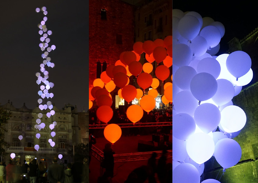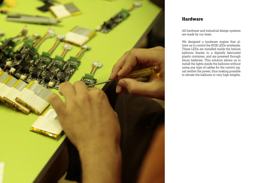

# **Hardware**

All hardware and industrial design systems are made by our team.

We designed a hardware engine that allows us to control the RGB LEDs wirelessly. These LEDs are installed inside the helium balloons thanks to a digitally fabricated plastic container, and are powered through litium batteries. This solution allows us to install the lights inside the balloons without using any type of cables for the control signal neither the power, thus making possible to elevate the balloons to very high heights.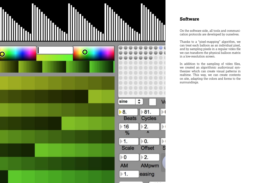

# **Software**

S

On the software side, all tools and communication protocols are developed by ourselves.

Thanks to a "pixel-mapping" algorithm, we can treat each balloon as an individual pixel, and by sampling pixels in a regular video file we can transform the physical balloon matrix in a low-resolution screen.

In addition to the sampling of video files, we created an algorithmic audiovisual synthesizer which can create visual patterns in realtime. This way, we can create contents on site, adapting the colors and forms to the surroundings.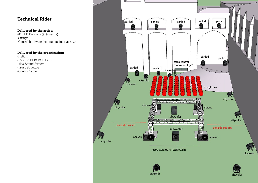# **Technical Rider**

**Delivered by the artists:**

-81 LED Balloons (9x9 matrix) -Strings -Control hardware (computers, interfaces...)

#### **Delivered by the organization:**

-Helium -10 to 30 DMX RGB ParLED -4kw Sound System -Truss structure -Control Table